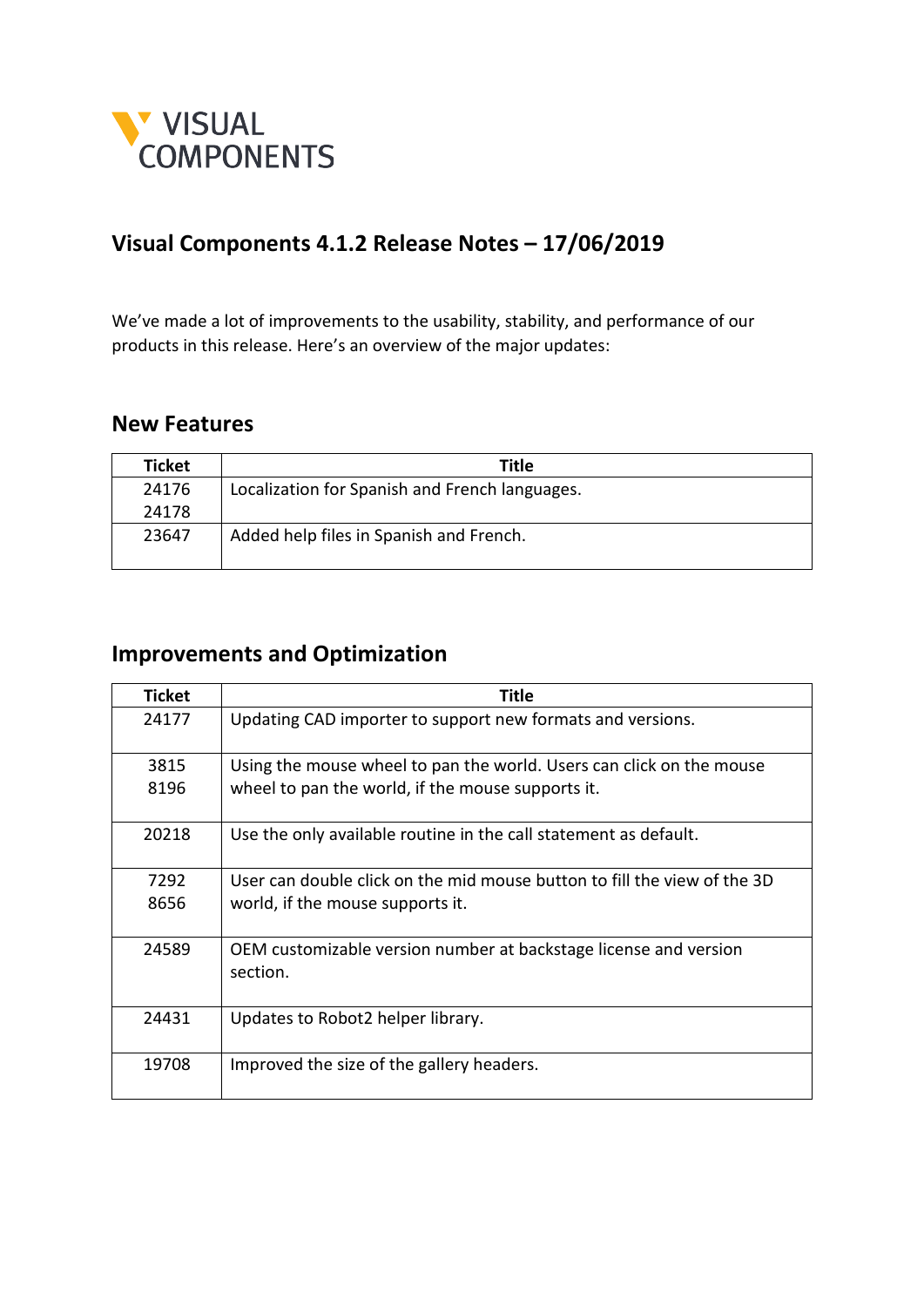

## **Visual Components 4.1.2 Release Notes – 17/06/2019**

We've made a lot of improvements to the usability, stability, and performance of our products in this release. Here's an overview of the major updates:

## **New Features**

| Ticket | Title                                          |
|--------|------------------------------------------------|
| 24176  | Localization for Spanish and French languages. |
| 24178  |                                                |
| 23647  | Added help files in Spanish and French.        |

## **Improvements and Optimization**

| <b>Ticket</b> | Title                                                                    |
|---------------|--------------------------------------------------------------------------|
| 24177         | Updating CAD importer to support new formats and versions.               |
| 3815          | Using the mouse wheel to pan the world. Users can click on the mouse     |
| 8196          | wheel to pan the world, if the mouse supports it.                        |
| 20218         | Use the only available routine in the call statement as default.         |
| 7292          | User can double click on the mid mouse button to fill the view of the 3D |
| 8656          | world, if the mouse supports it.                                         |
| 24589         | OEM customizable version number at backstage license and version         |
|               | section.                                                                 |
| 24431         | Updates to Robot2 helper library.                                        |
| 19708         | Improved the size of the gallery headers.                                |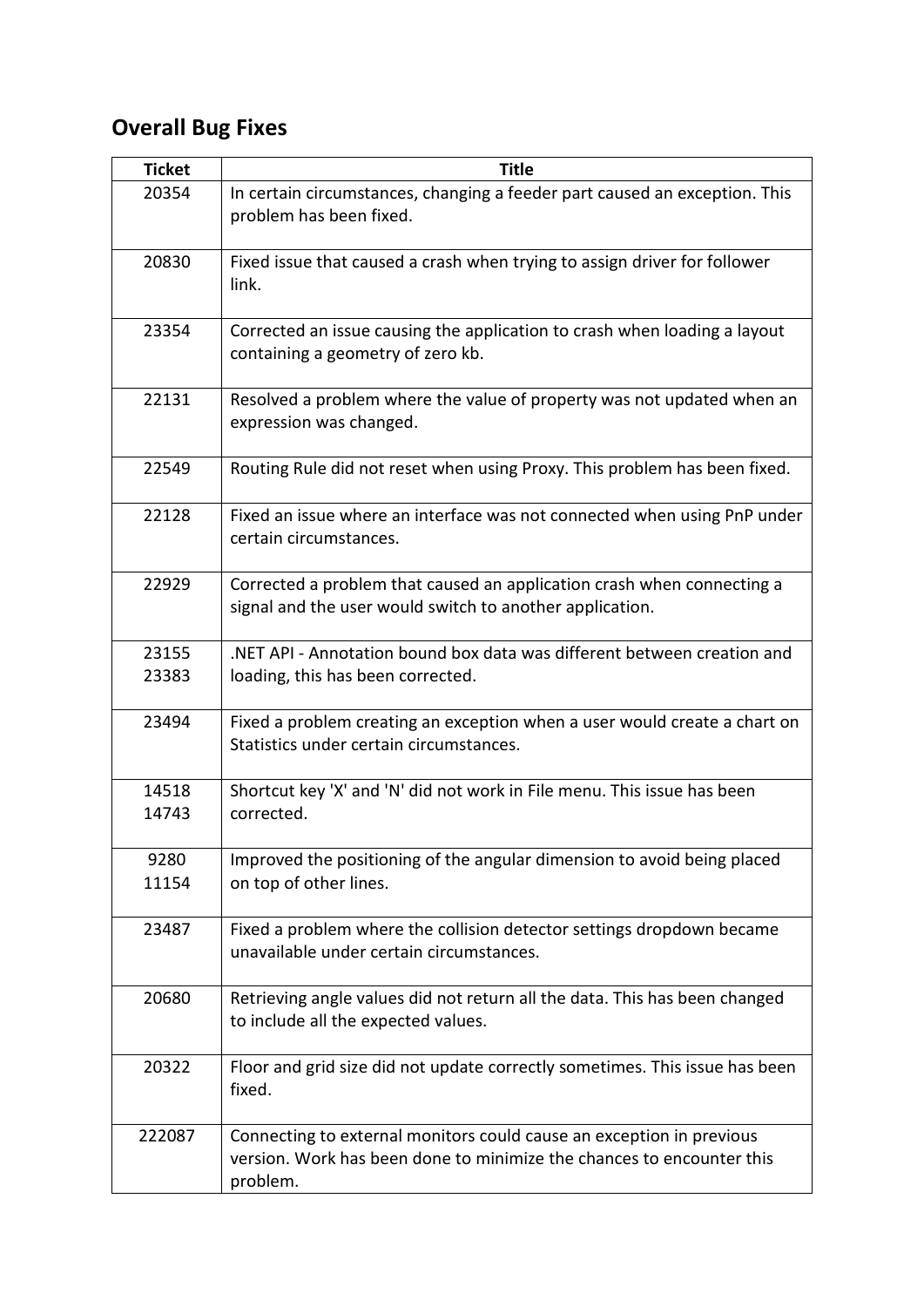## **Overall Bug Fixes**

| <b>Ticket</b>  | <b>Title</b>                                                                                                                                              |
|----------------|-----------------------------------------------------------------------------------------------------------------------------------------------------------|
| 20354          | In certain circumstances, changing a feeder part caused an exception. This<br>problem has been fixed.                                                     |
| 20830          | Fixed issue that caused a crash when trying to assign driver for follower<br>link.                                                                        |
| 23354          | Corrected an issue causing the application to crash when loading a layout<br>containing a geometry of zero kb.                                            |
| 22131          | Resolved a problem where the value of property was not updated when an<br>expression was changed.                                                         |
| 22549          | Routing Rule did not reset when using Proxy. This problem has been fixed.                                                                                 |
| 22128          | Fixed an issue where an interface was not connected when using PnP under<br>certain circumstances.                                                        |
| 22929          | Corrected a problem that caused an application crash when connecting a<br>signal and the user would switch to another application.                        |
| 23155<br>23383 | .NET API - Annotation bound box data was different between creation and<br>loading, this has been corrected.                                              |
| 23494          | Fixed a problem creating an exception when a user would create a chart on<br>Statistics under certain circumstances.                                      |
| 14518<br>14743 | Shortcut key 'X' and 'N' did not work in File menu. This issue has been<br>corrected.                                                                     |
| 9280<br>11154  | Improved the positioning of the angular dimension to avoid being placed<br>on top of other lines.                                                         |
| 23487          | Fixed a problem where the collision detector settings dropdown became<br>unavailable under certain circumstances.                                         |
| 20680          | Retrieving angle values did not return all the data. This has been changed<br>to include all the expected values.                                         |
| 20322          | Floor and grid size did not update correctly sometimes. This issue has been<br>fixed.                                                                     |
| 222087         | Connecting to external monitors could cause an exception in previous<br>version. Work has been done to minimize the chances to encounter this<br>problem. |